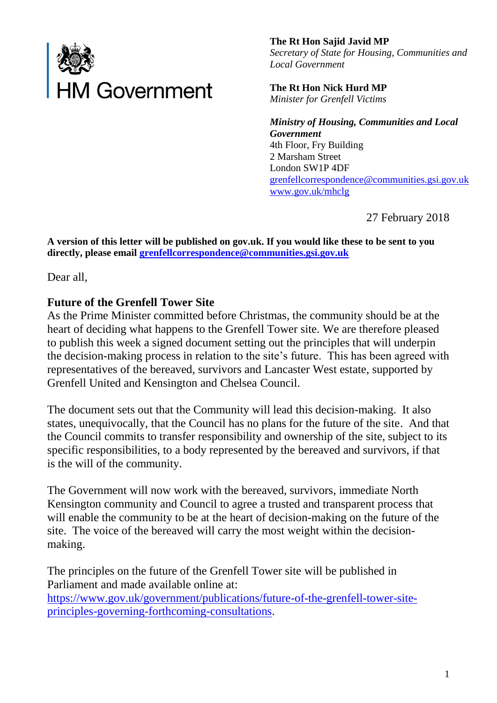

**The Rt Hon Sajid Javid MP** *Secretary of State for Housing, Communities and Local Government*

**The Rt Hon Nick Hurd MP** *Minister for Grenfell Victims*

*Ministry of Housing, Communities and Local Government* 4th Floor, Fry Building 2 Marsham Street London SW1P 4DF [grenfellcorrespondence@communities.gsi.gov.uk](mailto:grenfellcorrespondence@communities.gsi.gov.uk) [www.gov.uk/mhclg](http://www.gov.uk/mhclg)

27 February 2018

**A version of this letter will be published on gov.uk. If you would like these to be sent to you directly, please email [grenfellcorrespondence@communities.gsi.gov.uk](mailto:grenfellcorrespondence@communities.gsi.gov.uk)**

Dear all,

## **Future of the Grenfell Tower Site**

As the Prime Minister committed before Christmas, the community should be at the heart of deciding what happens to the Grenfell Tower site. We are therefore pleased to publish this week a signed document setting out the principles that will underpin the decision-making process in relation to the site's future. This has been agreed with representatives of the bereaved, survivors and Lancaster West estate, supported by Grenfell United and Kensington and Chelsea Council.

The document sets out that the Community will lead this decision-making. It also states, unequivocally, that the Council has no plans for the future of the site. And that the Council commits to transfer responsibility and ownership of the site, subject to its specific responsibilities, to a body represented by the bereaved and survivors, if that is the will of the community.

The Government will now work with the bereaved, survivors, immediate North Kensington community and Council to agree a trusted and transparent process that will enable the community to be at the heart of decision-making on the future of the site. The voice of the bereaved will carry the most weight within the decisionmaking.

The principles on the future of the Grenfell Tower site will be published in Parliament and made available online at: [https://www.gov.uk/government/publications/future-of-the-grenfell-tower-site](https://www.gov.uk/government/publications/future-of-the-grenfell-tower-site-principles-governing-forthcoming-consultations)[principles-governing-forthcoming-consultations.](https://www.gov.uk/government/publications/future-of-the-grenfell-tower-site-principles-governing-forthcoming-consultations)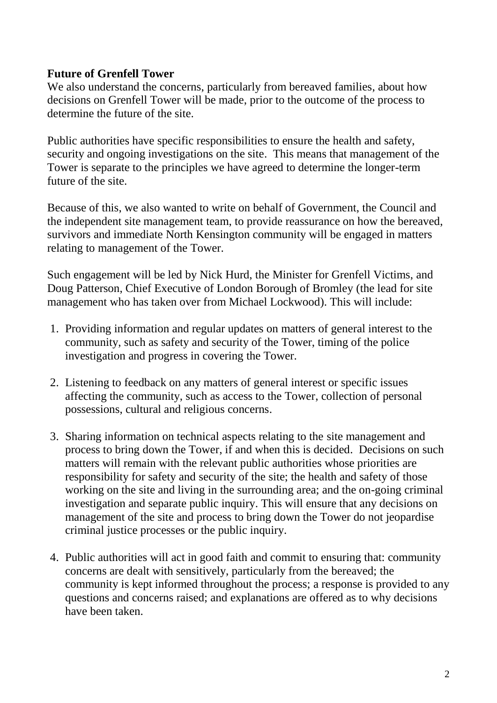## **Future of Grenfell Tower**

We also understand the concerns, particularly from bereaved families, about how decisions on Grenfell Tower will be made, prior to the outcome of the process to determine the future of the site.

Public authorities have specific responsibilities to ensure the health and safety, security and ongoing investigations on the site. This means that management of the Tower is separate to the principles we have agreed to determine the longer-term future of the site.

Because of this, we also wanted to write on behalf of Government, the Council and the independent site management team, to provide reassurance on how the bereaved, survivors and immediate North Kensington community will be engaged in matters relating to management of the Tower.

Such engagement will be led by Nick Hurd, the Minister for Grenfell Victims, and Doug Patterson, Chief Executive of London Borough of Bromley (the lead for site management who has taken over from Michael Lockwood). This will include:

- 1. Providing information and regular updates on matters of general interest to the community, such as safety and security of the Tower, timing of the police investigation and progress in covering the Tower.
- 2. Listening to feedback on any matters of general interest or specific issues affecting the community, such as access to the Tower, collection of personal possessions, cultural and religious concerns.
- 3. Sharing information on technical aspects relating to the site management and process to bring down the Tower, if and when this is decided. Decisions on such matters will remain with the relevant public authorities whose priorities are responsibility for safety and security of the site; the health and safety of those working on the site and living in the surrounding area; and the on-going criminal investigation and separate public inquiry. This will ensure that any decisions on management of the site and process to bring down the Tower do not jeopardise criminal justice processes or the public inquiry.
- 4. Public authorities will act in good faith and commit to ensuring that: community concerns are dealt with sensitively, particularly from the bereaved; the community is kept informed throughout the process; a response is provided to any questions and concerns raised; and explanations are offered as to why decisions have been taken.